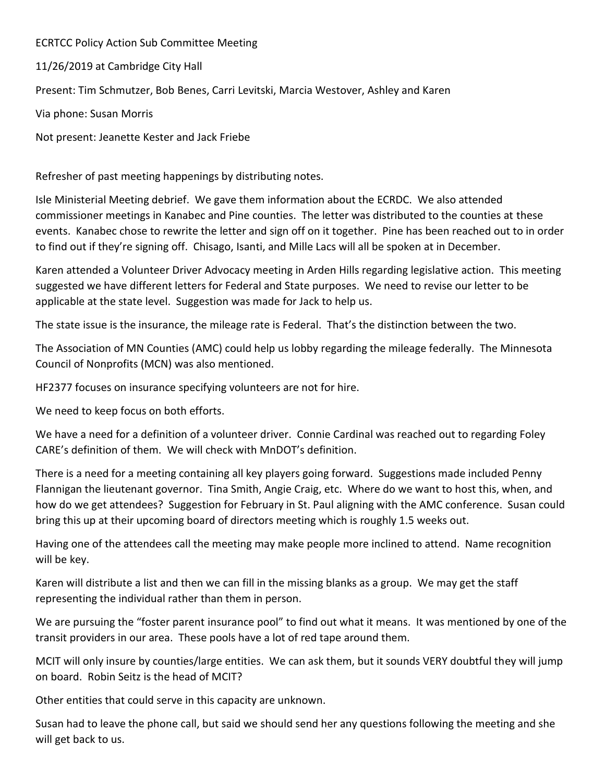ECRTCC Policy Action Sub Committee Meeting

11/26/2019 at Cambridge City Hall

Present: Tim Schmutzer, Bob Benes, Carri Levitski, Marcia Westover, Ashley and Karen

Via phone: Susan Morris

Not present: Jeanette Kester and Jack Friebe

Refresher of past meeting happenings by distributing notes.

Isle Ministerial Meeting debrief. We gave them information about the ECRDC. We also attended commissioner meetings in Kanabec and Pine counties. The letter was distributed to the counties at these events. Kanabec chose to rewrite the letter and sign off on it together. Pine has been reached out to in order to find out if they're signing off. Chisago, Isanti, and Mille Lacs will all be spoken at in December.

Karen attended a Volunteer Driver Advocacy meeting in Arden Hills regarding legislative action. This meeting suggested we have different letters for Federal and State purposes. We need to revise our letter to be applicable at the state level. Suggestion was made for Jack to help us.

The state issue is the insurance, the mileage rate is Federal. That's the distinction between the two.

The Association of MN Counties (AMC) could help us lobby regarding the mileage federally. The Minnesota Council of Nonprofits (MCN) was also mentioned.

HF2377 focuses on insurance specifying volunteers are not for hire.

We need to keep focus on both efforts.

We have a need for a definition of a volunteer driver. Connie Cardinal was reached out to regarding Foley CARE's definition of them. We will check with MnDOT's definition.

There is a need for a meeting containing all key players going forward. Suggestions made included Penny Flannigan the lieutenant governor. Tina Smith, Angie Craig, etc. Where do we want to host this, when, and how do we get attendees? Suggestion for February in St. Paul aligning with the AMC conference. Susan could bring this up at their upcoming board of directors meeting which is roughly 1.5 weeks out.

Having one of the attendees call the meeting may make people more inclined to attend. Name recognition will be key.

Karen will distribute a list and then we can fill in the missing blanks as a group. We may get the staff representing the individual rather than them in person.

We are pursuing the "foster parent insurance pool" to find out what it means. It was mentioned by one of the transit providers in our area. These pools have a lot of red tape around them.

MCIT will only insure by counties/large entities. We can ask them, but it sounds VERY doubtful they will jump on board. Robin Seitz is the head of MCIT?

Other entities that could serve in this capacity are unknown.

Susan had to leave the phone call, but said we should send her any questions following the meeting and she will get back to us.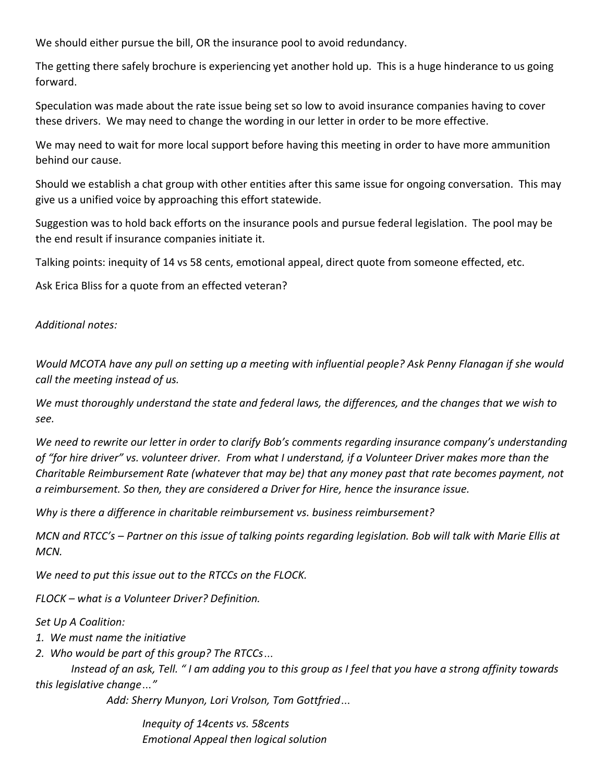We should either pursue the bill, OR the insurance pool to avoid redundancy.

The getting there safely brochure is experiencing yet another hold up. This is a huge hinderance to us going forward.

Speculation was made about the rate issue being set so low to avoid insurance companies having to cover these drivers. We may need to change the wording in our letter in order to be more effective.

We may need to wait for more local support before having this meeting in order to have more ammunition behind our cause.

Should we establish a chat group with other entities after this same issue for ongoing conversation. This may give us a unified voice by approaching this effort statewide.

Suggestion was to hold back efforts on the insurance pools and pursue federal legislation. The pool may be the end result if insurance companies initiate it.

Talking points: inequity of 14 vs 58 cents, emotional appeal, direct quote from someone effected, etc.

Ask Erica Bliss for a quote from an effected veteran?

*Additional notes:*

*Would MCOTA have any pull on setting up a meeting with influential people? Ask Penny Flanagan if she would call the meeting instead of us.* 

*We must thoroughly understand the state and federal laws, the differences, and the changes that we wish to see.*

*We need to rewrite our letter in order to clarify Bob's comments regarding insurance company's understanding of "for hire driver" vs. volunteer driver. From what I understand, if a Volunteer Driver makes more than the Charitable Reimbursement Rate (whatever that may be) that any money past that rate becomes payment, not a reimbursement. So then, they are considered a Driver for Hire, hence the insurance issue.*

*Why is there a difference in charitable reimbursement vs. business reimbursement?*

*MCN and RTCC's – Partner on this issue of talking points regarding legislation. Bob will talk with Marie Ellis at MCN.*

*We need to put this issue out to the RTCCs on the FLOCK.*

*FLOCK – what is a Volunteer Driver? Definition.*

*Set Up A Coalition:*

*1. We must name the initiative*

*2. Who would be part of this group? The RTCCs…*

*Instead of an ask, Tell. " I am adding you to this group as I feel that you have a strong affinity towards this legislative change…"*

*Add: Sherry Munyon, Lori Vrolson, Tom Gottfried…*

*Inequity of 14cents vs. 58cents Emotional Appeal then logical solution*